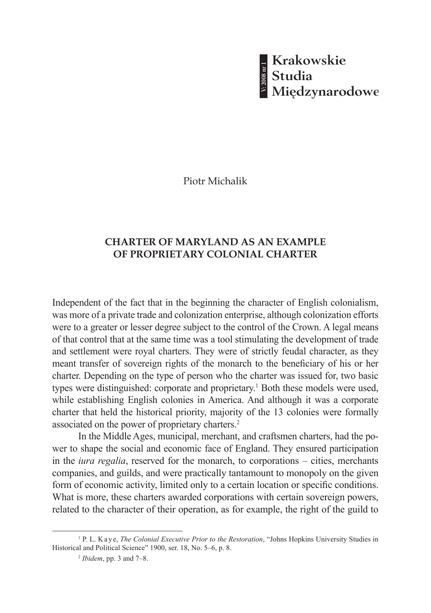**- Krakowskie<br>8 Studia<br>8 Międzynarodowe V: 2008 nr 1**

Piotr Michalik

## **CHARTER OF MARYLAND AS AN EXAMPLE OF PROPRIETARY COLONIAL CHARTER**

Independent of the fact that in the beginning the character of English colonialism, was more of a private trade and colonization enterprise, although colonization efforts were to a greater or lesser degree subject to the control of the Crown. A legal means of that control that at the same time was a tool stimulating the development of trade and settlement were royal charters. They were of strictly feudal character, as they meant transfer of sovereign rights of the monarch to the beneficiary of his or her charter. Depending on the type of person who the charter was issued for, two basic types were distinguished: corporate and proprietary.<sup>1</sup> Both these models were used, while establishing English colonies in America. And although it was a corporate charter that held the historical priority, majority of the 13 colonies were formally associated on the power of proprietary charters.2

In the Middle Ages, municipal, merchant, and craftsmen charters, had the power to shape the social and economic face of England. They ensured participation in the *iura regalia*, reserved for the monarch, to corporations – cities, merchants companies, and guilds, and were practically tantamount to monopoly on the given form of economic activity, limited only to a certain location or specific conditions. What is more, these charters awarded corporations with certain sovereign powers, related to the character of their operation, as for example, the right of the guild to

<sup>&</sup>lt;sup>1</sup> P. L. K a y e, *The Colonial Executive Prior to the Restoration*, "Johns Hopkins University Studies in Historical and Political Science" 1900, ser. 18, No. 5–6, p. 8.

<sup>2</sup> *Ibidem*, pp. 3 and 7–8.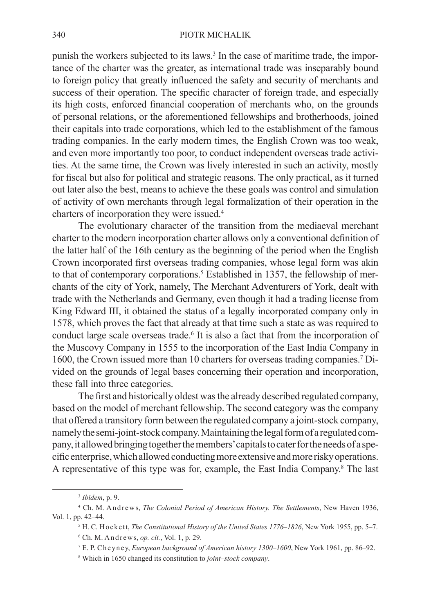punish the workers subjected to its laws.<sup>3</sup> In the case of maritime trade, the importance of the charter was the greater, as international trade was inseparably bound to foreign policy that greatly influenced the safety and security of merchants and success of their operation. The specific character of foreign trade, and especially its high costs, enforced financial cooperation of merchants who, on the grounds of personal relations, or the aforementioned fellowships and brotherhoods, joined their capitals into trade corporations, which led to the establishment of the famous trading companies. In the early modern times, the English Crown was too weak, and even more importantly too poor, to conduct independent overseas trade activities. At the same time, the Crown was lively interested in such an activity, mostly for fiscal but also for political and strategic reasons. The only practical, as it turned out later also the best, means to achieve the these goals was control and simulation of activity of own merchants through legal formalization of their operation in the charters of incorporation they were issued.4

The evolutionary character of the transition from the mediaeval merchant charter to the modern incorporation charter allows only a conventional definition of the latter half of the 16th century as the beginning of the period when the English Crown incorporated first overseas trading companies, whose legal form was akin to that of contemporary corporations.<sup>5</sup> Established in 1357, the fellowship of merchants of the city of York, namely, The Merchant Adventurers of York, dealt with trade with the Netherlands and Germany, even though it had a trading license from King Edward III, it obtained the status of a legally incorporated company only in 1578, which proves the fact that already at that time such a state as was required to conduct large scale overseas trade.<sup>6</sup> It is also a fact that from the incorporation of the Muscovy Company in 1555 to the incorporation of the East India Company in 1600, the Crown issued more than 10 charters for overseas trading companies.7 Divided on the grounds of legal bases concerning their operation and incorporation, these fall into three categories.

The first and historically oldest was the already described regulated company, based on the model of merchant fellowship. The second category was the company that offered a transitory form between the regulated company a joint-stock company, namely the semi-joint-stock company. Maintaining the legal form of a regulated company, it allowed bringing together the members' capitals to cater for the needs of a specific enterprise, which allowed conducting more extensive and more risky operations. A representative of this type was for, example, the East India Company.8 The last

<sup>3</sup> *Ibidem*, p. 9.

<sup>&</sup>lt;sup>4</sup> Ch. M. Andrews, *The Colonial Period of American History. The Settlements*, New Haven 1936, Vol. 1, pp. 42–44.

<sup>5</sup> H. C. H o c k e t t, *The Constitutional History of the United States 1776–1826*, New York 1955, pp. 5–7. 6 Ch. M. A n d r e w s, *op. cit.*, Vol. 1, p. 29.

<sup>7</sup> E. P. C h e y n e y, *European background of American history 1300–1600*, New York 1961, pp. 86–92.

<sup>8</sup> Which in 1650 changed its constitution to *joint–stock company*.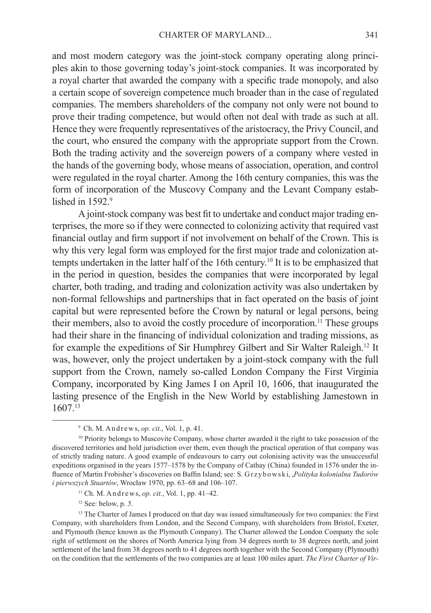and most modern category was the joint-stock company operating along principles akin to those governing today's joint-stock companies. It was incorporated by a royal charter that awarded the company with a specific trade monopoly, and also a certain scope of sovereign competence much broader than in the case of regulated companies. The members shareholders of the company not only were not bound to prove their trading competence, but would often not deal with trade as such at all. Hence they were frequently representatives of the aristocracy, the Privy Council, and the court, who ensured the company with the appropriate support from the Crown. Both the trading activity and the sovereign powers of a company where vested in the hands of the governing body, whose means of association, operation, and control were regulated in the royal charter. Among the 16th century companies, this was the form of incorporation of the Muscovy Company and the Levant Company established in 1592.9

A joint-stock company was best fit to undertake and conduct major trading enterprises, the more so if they were connected to colonizing activity that required vast financial outlay and firm support if not involvement on behalf of the Crown. This is why this very legal form was employed for the first major trade and colonization attempts undertaken in the latter half of the 16th century.10 It is to be emphasized that in the period in question, besides the companies that were incorporated by legal charter, both trading, and trading and colonization activity was also undertaken by non-formal fellowships and partnerships that in fact operated on the basis of joint capital but were represented before the Crown by natural or legal persons, being their members, also to avoid the costly procedure of incorporation.11 These groups had their share in the financing of individual colonization and trading missions, as for example the expeditions of Sir Humphrey Gilbert and Sir Walter Raleigh.12 It was, however, only the project undertaken by a joint-stock company with the full support from the Crown, namely so-called London Company the First Virginia Company, incorporated by King James I on April 10, 1606, that inaugurated the lasting presence of the English in the New World by establishing Jamestown in 1607.13

12 See: below, p. *5*.

<sup>13</sup> The Charter of James I produced on that day was issued simultaneously for two companies: the First Company, with shareholders from London, and the Second Company, with shareholders from Bristol, Exeter, and Plymouth (hence known as the Plymouth Company). The Charter allowed the London Company the sole right of settlement on the shores of North America lying from 34 degrees north to 38 degrees north, and joint settlement of the land from 38 degrees north to 41 degrees north together with the Second Company (Plymouth) on the condition that the settlements of the two companies are at least 100 miles apart. *The First Charter of Vir-*

 $9$  Ch. M. Andrews, *op. cit.*, Vol. 1, p. 41.

<sup>&</sup>lt;sup>10</sup> Priority belongs to Muscovite Company, whose charter awarded it the right to take possession of the discovered territories and hold jurisdiction over them, even though the practical operation of that company was of strictly trading nature. A good example of endeavours to carry out colonising activity was the unsuccessful expeditions organised in the years 1577–1578 by the Company of Cathay (China) founded in 1576 under the influence of Martin Frobisher's discoveries on Baffin Island; see: S. G r z y b o w s k i, *Polityka kolonialna Tudorów i pierwszych Stuartów*, Wrocław 1970, pp. 63–68 and 106–107.

<sup>&</sup>lt;sup>11</sup> Ch. M. Andrews, *op. cit.*, Vol. 1, pp.  $41-42$ .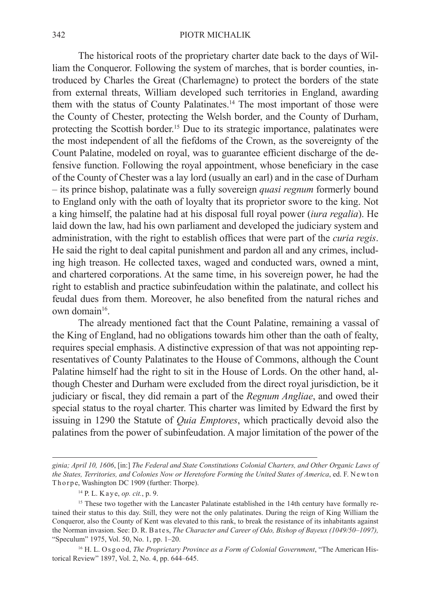The historical roots of the proprietary charter date back to the days of William the Conqueror. Following the system of marches, that is border counties, introduced by Charles the Great (Charlemagne) to protect the borders of the state from external threats, William developed such territories in England, awarding them with the status of County Palatinates.<sup>14</sup> The most important of those were the County of Chester, protecting the Welsh border, and the County of Durham, protecting the Scottish border.15 Due to its strategic importance, palatinates were the most independent of all the fiefdoms of the Crown, as the sovereignty of the Count Palatine, modeled on royal, was to guarantee efficient discharge of the defensive function. Following the royal appointment, whose beneficiary in the case of the County of Chester was a lay lord (usually an earl) and in the case of Durham – its prince bishop, palatinate was a fully sovereign *quasi regnum* formerly bound to England only with the oath of loyalty that its proprietor swore to the king. Not a king himself, the palatine had at his disposal full royal power (*iura regalia*). He laid down the law, had his own parliament and developed the judiciary system and administration, with the right to establish offices that were part of the *curia regis*. He said the right to deal capital punishment and pardon all and any crimes, including high treason. He collected taxes, waged and conducted wars, owned a mint, and chartered corporations. At the same time, in his sovereign power, he had the right to establish and practice subinfeudation within the palatinate, and collect his feudal dues from them. Moreover, he also benefited from the natural riches and own domain<sup>16</sup>.

The already mentioned fact that the Count Palatine, remaining a vassal of the King of England, had no obligations towards him other than the oath of fealty, requires special emphasis. A distinctive expression of that was not appointing representatives of County Palatinates to the House of Commons, although the Count Palatine himself had the right to sit in the House of Lords. On the other hand, although Chester and Durham were excluded from the direct royal jurisdiction, be it judiciary or fiscal, they did remain a part of the *Regnum Angliae*, and owed their special status to the royal charter. This charter was limited by Edward the first by issuing in 1290 the Statute of *Quia Emptores*, which practically devoid also the palatines from the power of subinfeudation. A major limitation of the power of the

*ginia; April 10, 1606*, [in:] *The Federal and State Constitutions Colonial Charters, and Other Organic Laws of the States, Territories, and Colonies Now or Heretofore Forming the United States of America*, ed. F. Newton Thorpe, Washington DC 1909 (further: Thorpe).

<sup>14</sup> P. L. K a y e, *op. cit.*, p. 9.

<sup>&</sup>lt;sup>15</sup> These two together with the Lancaster Palatinate established in the 14th century have formally retained their status to this day. Still, they were not the only palatinates. During the reign of King William the Conqueror, also the County of Kent was elevated to this rank, to break the resistance of its inhabitants against the Norman invasion. See: D. R. B at es, *The Character and Career of Odo, Bishop of Bayeux (1049/50–1097),* "Speculum" 1975, Vol. 50, No. 1, pp. 1–20.

<sup>&</sup>lt;sup>16</sup> H. L. Osgood, *The Proprietary Province as a Form of Colonial Government*, "The American Historical Review" 1897, Vol. 2, No. 4, pp. 644–645.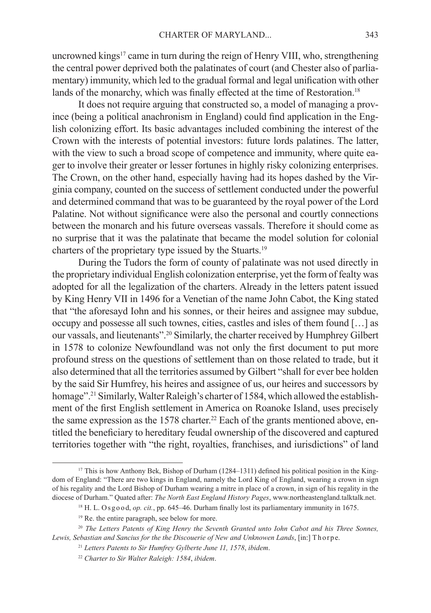uncrowned kings<sup>17</sup> came in turn during the reign of Henry VIII, who, strengthening the central power deprived both the palatinates of court (and Chester also of parliamentary) immunity, which led to the gradual formal and legal unification with other lands of the monarchy, which was finally effected at the time of Restoration.<sup>18</sup>

It does not require arguing that constructed so, a model of managing a province (being a political anachronism in England) could find application in the English colonizing effort. Its basic advantages included combining the interest of the Crown with the interests of potential investors: future lords palatines. The latter, with the view to such a broad scope of competence and immunity, where quite eager to involve their greater or lesser fortunes in highly risky colonizing enterprises. The Crown, on the other hand, especially having had its hopes dashed by the Virginia company, counted on the success of settlement conducted under the powerful and determined command that was to be guaranteed by the royal power of the Lord Palatine. Not without significance were also the personal and courtly connections between the monarch and his future overseas vassals. Therefore it should come as no surprise that it was the palatinate that became the model solution for colonial charters of the proprietary type issued by the Stuarts.19

During the Tudors the form of county of palatinate was not used directly in the proprietary individual English colonization enterprise, yet the form of fealty was adopted for all the legalization of the charters. Already in the letters patent issued by King Henry VII in 1496 for a Venetian of the name John Cabot, the King stated that "the aforesayd Iohn and his sonnes, or their heires and assignee may subdue, occupy and possesse all such townes, cities, castles and isles of them found […] as our vassals, and lieutenants".20 Similarly, the charter received by Humphrey Gilbert in 1578 to colonize Newfoundland was not only the first document to put more profound stress on the questions of settlement than on those related to trade, but it also determined that all the territories assumed by Gilbert "shall for ever bee holden by the said Sir Humfrey, his heires and assignee of us, our heires and successors by homage".<sup>21</sup> Similarly, Walter Raleigh's charter of 1584, which allowed the establishment of the first English settlement in America on Roanoke Island, uses precisely the same expression as the 1578 charter.<sup>22</sup> Each of the grants mentioned above, entitled the beneficiary to hereditary feudal ownership of the discovered and captured territories together with "the right, royalties, franchises, and iurisdictions" of land

<sup>&</sup>lt;sup>17</sup> This is how Anthony Bek, Bishop of Durham (1284–1311) defined his political position in the Kingdom of England: "There are two kings in England, namely the Lord King of England, wearing a crown in sign of his regality and the Lord Bishop of Durham wearing a mitre in place of a crown, in sign of his regality in the diocese of Durham." Quated after: *The North East England History Pages*, www.northeastengland.talktalk.net.

<sup>&</sup>lt;sup>18</sup> H. L. Osgood, *op. cit.*, pp. 645–46. Durham finally lost its parliamentary immunity in 1675.

<sup>19</sup> Re. the entire paragraph, see below for more.

<sup>20</sup> *The Letters Patents of King Henry the Seventh Granted unto Iohn Cabot and his Three Sonnes,*  Lewis, Sebastian and Sancius for the the Discouerie of New and Unknowen Lands, [in:] Thorpe.

<sup>21</sup> *Letters Patents to Sir Humfrey Gylberte June 11, 1578*, *ibidem*.

<sup>22</sup> *Charter to Sir Walter Raleigh: 1584*, *ibidem*.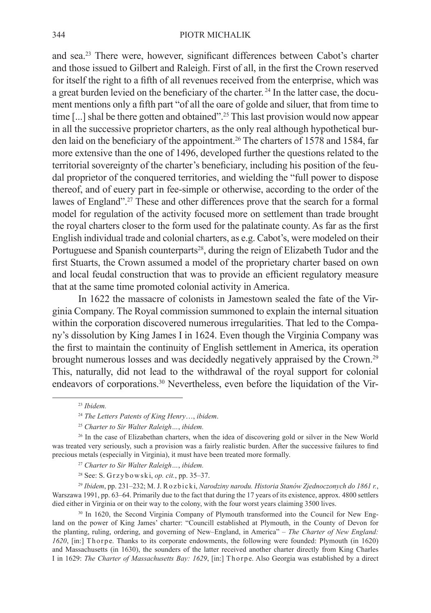## 344 PIOTR MICHALIK

and sea.23 There were, however, significant differences between Cabot's charter and those issued to Gilbert and Raleigh. First of all, in the first the Crown reserved for itself the right to a fifth of all revenues received from the enterprise, which was a great burden levied on the beneficiary of the charter. 24 In the latter case, the document mentions only a fifth part "of all the oare of golde and siluer, that from time to time [...] shal be there gotten and obtained".<sup>25</sup> This last provision would now appear in all the successive proprietor charters, as the only real although hypothetical burden laid on the beneficiary of the appointment.26 The charters of 1578 and 1584, far more extensive than the one of 1496, developed further the questions related to the territorial sovereignty of the charter's beneficiary, including his position of the feudal proprietor of the conquered territories, and wielding the "full power to dispose thereof, and of euery part in fee-simple or otherwise, according to the order of the lawes of England".<sup>27</sup> These and other differences prove that the search for a formal model for regulation of the activity focused more on settlement than trade brought the royal charters closer to the form used for the palatinate county. As far as the first English individual trade and colonial charters, as e.g. Cabot's, were modeled on their Portuguese and Spanish counterparts<sup>28</sup>, during the reign of Elizabeth Tudor and the first Stuarts, the Crown assumed a model of the proprietary charter based on own and local feudal construction that was to provide an efficient regulatory measure that at the same time promoted colonial activity in America.

In 1622 the massacre of colonists in Jamestown sealed the fate of the Virginia Company. The Royal commission summoned to explain the internal situation within the corporation discovered numerous irregularities. That led to the Company's dissolution by King James I in 1624. Even though the Virginia Company was the first to maintain the continuity of English settlement in America, its operation brought numerous losses and was decidedly negatively appraised by the Crown.29 This, naturally, did not lead to the withdrawal of the royal support for colonial endeavors of corporations.30 Nevertheless, even before the liquidation of the Vir-

<sup>26</sup> In the case of Elizabethan charters, when the idea of discovering gold or silver in the New World was treated very seriously, such a provision was a fairly realistic burden. After the successive failures to find precious metals (especially in Virginia), it must have been treated more formally.

- <sup>27</sup> *Charter to Sir Walter Raleigh…*, *ibidem.*
- <sup>28</sup> See: S. G r z y b o w s k i, *op. cit.*, pp. 35–37.

<sup>29</sup> *Ibidem*, pp. 231–232; M. J. R o z b i c k i, *Narodziny narodu. Historia Stanów Zjednoczonych do 1861 r.*, Warszawa 1991, pp. 63–64. Primarily due to the fact that during the 17 years of its existence, approx. 4800 settlers died either in Virginia or on their way to the colony, with the four worst years claiming 3500 lives.

<sup>30</sup> In 1620, the Second Virginia Company of Plymouth transformed into the Council for New England on the power of King James' charter: "Councill established at Plymouth, in the County of Devon for the planting, ruling, ordering, and governing of New–England, in America" – *The Charter of New England: 1620*, [in:] Thorpe. Thanks to its corporate endowments, the following were founded: Plymouth (in 1620) and Massachusetts (in 1630), the sounders of the latter received another charter directly from King Charles I in 1629: *The Charter of Massachusetts Bay: 1629*, [in:] Thorpe. Also Georgia was established by a direct

<sup>23</sup> *Ibidem.*

<sup>24</sup> *The Letters Patents of King Henry*…, *ibidem*.

<sup>25</sup> *Charter to Sir Walter Raleigh…*, *ibidem.*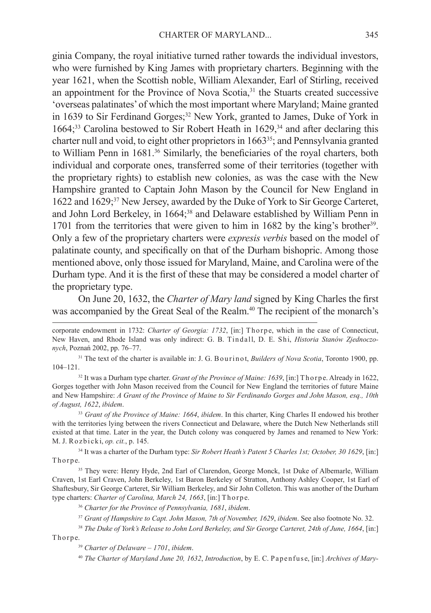ginia Company, the royal initiative turned rather towards the individual investors, who were furnished by King James with proprietary charters. Beginning with the year 1621, when the Scottish noble, William Alexander, Earl of Stirling, received an appointment for the Province of Nova Scotia,<sup>31</sup> the Stuarts created successive 'overseas palatinates' of which the most important where Maryland; Maine granted in 1639 to Sir Ferdinand Gorges;<sup>32</sup> New York, granted to James, Duke of York in 1664;<sup>33</sup> Carolina bestowed to Sir Robert Heath in 1629,<sup>34</sup> and after declaring this charter null and void, to eight other proprietors in 166335; and Pennsylvania granted to William Penn in 1681.<sup>36</sup> Similarly, the beneficiaries of the royal charters, both individual and corporate ones, transferred some of their territories (together with the proprietary rights) to establish new colonies, as was the case with the New Hampshire granted to Captain John Mason by the Council for New England in 1622 and 1629;37 New Jersey, awarded by the Duke of York to Sir George Carteret, and John Lord Berkeley, in 1664;38 and Delaware established by William Penn in 1701 from the territories that were given to him in 1682 by the king's brother<sup>39</sup>. Only a few of the proprietary charters were *expresis verbis* based on the model of palatinate county, and specifically on that of the Durham bishopric. Among those mentioned above, only those issued for Maryland, Maine, and Carolina were of the Durham type. And it is the first of these that may be considered a model charter of the proprietary type.

On June 20, 1632, the *Charter of Mary land* signed by King Charles the first was accompanied by the Great Seal of the Realm.<sup>40</sup> The recipient of the monarch's

corporate endowment in 1732: *Charter of Georgia: 1732*, [in:] Th or p e, which in the case of Connecticut, New Haven, and Rhode Island was only indirect: G. B. Tindall, D. E. Shi, *Historia Stanów Zjednoczonych*, Poznań 2002, pp. 76–77.

<sup>31</sup> The text of the charter is available in: J. G. B our in ot, *Builders of Nova Scotia*, Toronto 1900, pp. 104–121.

<sup>32</sup> It was a Durham type charter. *Grant of the Province of Maine: 1639*, [in:] Thorpe. Already in 1622, Gorges together with John Mason received from the Council for New England the territories of future Maine and New Hampshire: *A Grant of the Province of Maine to Sir Ferdinando Gorges and John Mason, esq., 10th of August, 1622*, *ibidem*.

<sup>33</sup> *Grant of the Province of Maine: 1664*, *ibidem*. In this charter, King Charles II endowed his brother with the territories lying between the rivers Connecticut and Delaware, where the Dutch New Netherlands still existed at that time. Later in the year, the Dutch colony was conquered by James and renamed to New York: M. J. R o z b i c k i, *op. cit.*, p. 145.

34 It was a charter of the Durham type: *Sir Robert Heath's Patent 5 Charles 1st; October, 30 1629*, [in:] Thorpe.

<sup>35</sup> They were: Henry Hyde, 2nd Earl of Clarendon, George Monck, 1st Duke of Albemarle, William Craven, 1st Earl Craven, John Berkeley, 1st Baron Berkeley of Stratton, Anthony Ashley Cooper, 1st Earl of Shaftesbury, Sir George Carteret, Sir William Berkeley, and Sir John Colleton. This was another of the Durham type charters: *Charter of Carolina, March 24, 1663*, [in:] Thorpe.

<sup>36</sup> *Charter for the Province of Pennsylvania, 1681*, *ibidem*.

<sup>37</sup> *Grant of Hampshire to Capt. John Mason, 7th of November, 1629*, *ibidem*. See also footnote No. 32.

<sup>38</sup> *The Duke of York's Release to John Lord Berkeley, and Sir George Carteret, 24th of June, 1664*, [in:]

Thorpe.

<sup>39</sup> *Charter of Delaware – 1701*, *ibidem*.

<sup>40</sup> *The Charter of Maryland June 20, 1632, Introduction, by E. C. Papenfuse, [in:] Archives of Mary-*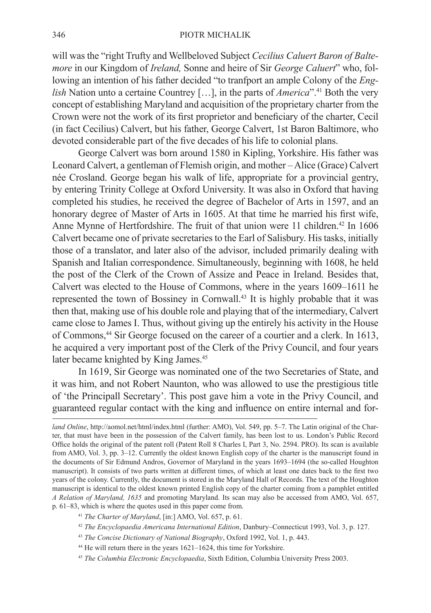will was the "right Trufty and Wellbeloved Subject *Cecilius Caluert Baron of Baltemore* in our Kingdom of *Ireland,* Sonne and heire of Sir *George Caluert*" who, following an intention of his father decided "to tranfport an ample Colony of the *English* Nation unto a certaine Countrey [...], in the parts of *America*".<sup>41</sup> Both the very concept of establishing Maryland and acquisition of the proprietary charter from the Crown were not the work of its first proprietor and beneficiary of the charter, Cecil (in fact Cecilius) Calvert, but his father, George Calvert, 1st Baron Baltimore, who devoted considerable part of the five decades of his life to colonial plans.

George Calvert was born around 1580 in Kipling, Yorkshire. His father was Leonard Calvert, a gentleman of Flemish origin, and mother – Alice (Grace) Calvert née Crosland. George began his walk of life, appropriate for a provincial gentry, by entering Trinity College at Oxford University. It was also in Oxford that having completed his studies, he received the degree of Bachelor of Arts in 1597, and an honorary degree of Master of Arts in 1605. At that time he married his first wife, Anne Mynne of Hertfordshire. The fruit of that union were 11 children.<sup>42</sup> In  $1606$ Calvert became one of private secretaries to the Earl of Salisbury. His tasks, initially those of a translator, and later also of the advisor, included primarily dealing with Spanish and Italian correspondence. Simultaneously, beginning with 1608, he held the post of the Clerk of the Crown of Assize and Peace in Ireland. Besides that, Calvert was elected to the House of Commons, where in the years 1609–1611 he represented the town of Bossiney in Cornwall.43 It is highly probable that it was then that, making use of his double role and playing that of the intermediary, Calvert came close to James I. Thus, without giving up the entirely his activity in the House of Commons,44 Sir George focused on the career of a courtier and a clerk. In 1613, he acquired a very important post of the Clerk of the Privy Council, and four years later became knighted by King James.<sup>45</sup>

In 1619, Sir George was nominated one of the two Secretaries of State, and it was him, and not Robert Naunton, who was allowed to use the prestigious title of 'the Principall Secretary'. This post gave him a vote in the Privy Council, and guaranteed regular contact with the king and influence on entire internal and for-

*land Online*, http://aomol.net/html/index.html (further: AMO), Vol. 549, pp. 5–7. The Latin original of the Charter, that must have been in the possession of the Calvert family, has been lost to us. London's Public Record Office holds the original of the patent roll (Patent Roll 8 Charles I, Part 3, No. 2594. PRO). Its scan is available from AMO, Vol. 3, pp. 3–12. Currently the oldest known English copy of the charter is the manuscript found in the documents of Sir Edmund Andros, Governor of Maryland in the years 1693–1694 (the so-called Houghton manuscript). It consists of two parts written at different times, of which at least one dates back to the first two years of the colony. Currently, the document is stored in the Maryland Hall of Records. The text of the Houghton manuscript is identical to the oldest known printed English copy of the charter coming from a pamphlet entitled *A Relation of Maryland, 1635* and promoting Maryland. Its scan may also be accessed from AMO, Vol. 657, p. 61–83, which is where the quotes used in this paper come from.

<sup>41</sup> *The Charter of Maryland*, [in:] AMO, Vol. 657, p. 61.

<sup>42</sup> *The Encyclopaedia Americana International Edition*, Danbury–Connecticut 1993, Vol. 3, p. 127.

<sup>43</sup> *The Concise Dictionary of National Biography*, Oxford 1992, Vol. 1, p. 443.

<sup>44</sup> He will return there in the years 1621–1624, this time for Yorkshire.

<sup>45</sup> *The Columbia Electronic Encyclopaedia*, Sixth Edition, Columbia University Press 2003.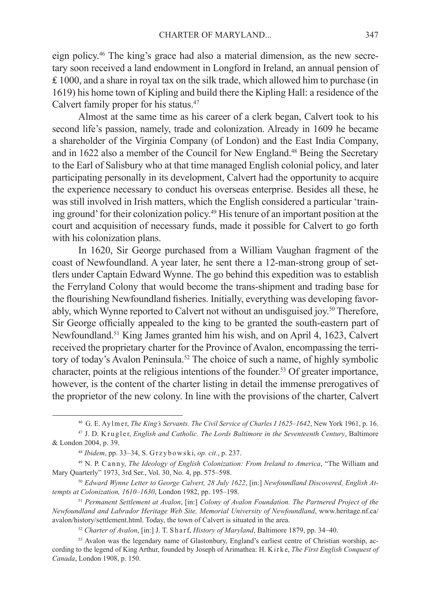eign policy.46 The king's grace had also a material dimension, as the new secretary soon received a land endowment in Longford in Ireland, an annual pension of  $£ 1000$ , and a share in royal tax on the silk trade, which allowed him to purchase (in 1619) his home town of Kipling and build there the Kipling Hall: a residence of the Calvert family proper for his status.<sup>47</sup>

Almost at the same time as his career of a clerk began, Calvert took to his second life's passion, namely, trade and colonization. Already in 1609 he became a shareholder of the Virginia Company (of London) and the East India Company, and in 1622 also a member of the Council for New England.48 Being the Secretary to the Earl of Salisbury who at that time managed English colonial policy, and later participating personally in its development, Calvert had the opportunity to acquire the experience necessary to conduct his overseas enterprise. Besides all these, he was still involved in Irish matters, which the English considered a particular 'training ground' for their colonization policy.49 His tenure of an important position at the court and acquisition of necessary funds, made it possible for Calvert to go forth with his colonization plans.

In 1620, Sir George purchased from a William Vaughan fragment of the coast of Newfoundland. A year later, he sent there a 12-man-strong group of settlers under Captain Edward Wynne. The go behind this expedition was to establish the Ferryland Colony that would become the trans-shipment and trading base for the flourishing Newfoundland fisheries. Initially, everything was developing favorably, which Wynne reported to Calvert not without an undisguised joy.50 Therefore, Sir George officially appealed to the king to be granted the south-eastern part of Newfoundland.51 King James granted him his wish, and on April 4, 1623, Calvert received the proprietary charter for the Province of Avalon, encompassing the territory of today's Avalon Peninsula.<sup>52</sup> The choice of such a name, of highly symbolic character, points at the religious intentions of the founder.53 Of greater importance, however, is the content of the charter listing in detail the immense prerogatives of the proprietor of the new colony. In line with the provisions of the charter, Calvert

<sup>52</sup> *Charter of Avalon*, [in:] J. T. S h a r f, *History of Maryland*, Baltimore 1879, pp. 34–40.

<sup>&</sup>lt;sup>46</sup> G. E. Ay l m er, *The King's Servants. The Civil Service of Charles I 1625–1642*, New York 1961, p. 16.

<sup>&</sup>lt;sup>47</sup> J. D. K rugler, *English and Catholic. The Lords Baltimore in the Seventeenth Century*, Baltimore & London 2004, p. 39.

<sup>48</sup> *Ibidem*, pp. 33–34, S. G r z y b o w s k i, *op. cit.*, p. 237.

<sup>&</sup>lt;sup>49</sup> N. P. Canny, *The Ideology of English Colonization: From Ireland to America*, "The William and Mary Quarterly" 1973, 3rd Ser., Vol. 30, No. 4, pp. 575–598.

<sup>50</sup> *Edward Wynne Letter to George Calvert, 28 July 1622*, [in:] *Newfoundland Discovered, English Attempts at Colonization, 1610–1630*, London 1982, pp. 195–198.

<sup>51</sup> *Permanent Settlement at Avalon*, [in:] *Colony of Avalon Foundation. The Partnered Project of the Newfoundland and Labrador Heritage Web Site, Memorial University of Newfoundland*, www.heritage.nf.ca/ avalon/history/settlement.html. Today, the town of Calvert is situated in the area.

<sup>53</sup> Avalon was the legendary name of Glastonbury, England's earliest centre of Christian worship, according to the legend of King Arthur, founded by Joseph of Arimathea: H. Kirke, *The First English Conquest of Canada*, London 1908, p. 150.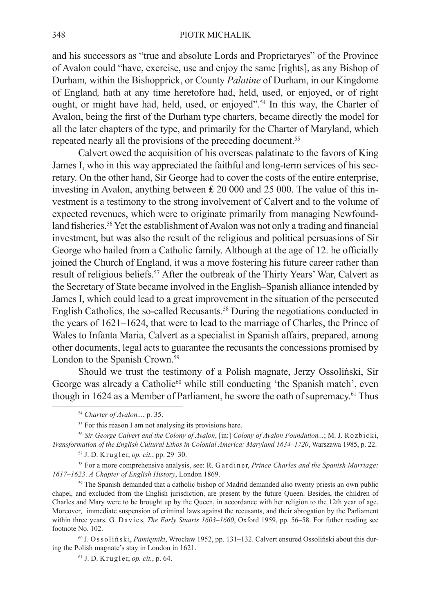and his successors as "true and absolute Lords and Proprietaryes" of the Province of Avalon could "have, exercise, use and enjoy the same [rights], as any Bishop of Durham*,* within the Bishopprick, or County *Palatine* of Durham, in our Kingdome of England*,* hath at any time heretofore had, held, used, or enjoyed, or of right ought, or might have had, held, used, or enjoyed".<sup>54</sup> In this way, the Charter of Avalon, being the first of the Durham type charters, became directly the model for all the later chapters of the type, and primarily for the Charter of Maryland, which repeated nearly all the provisions of the preceding document.<sup>55</sup>

Calvert owed the acquisition of his overseas palatinate to the favors of King James I, who in this way appreciated the faithful and long-term services of his secretary. On the other hand, Sir George had to cover the costs of the entire enterprise, investing in Avalon, anything between  $£ 20,000$  and 25,000. The value of this investment is a testimony to the strong involvement of Calvert and to the volume of expected revenues, which were to originate primarily from managing Newfoundland fisheries.<sup>56</sup> Yet the establishment of Avalon was not only a trading and financial investment, but was also the result of the religious and political persuasions of Sir George who hailed from a Catholic family. Although at the age of 12. he officially joined the Church of England, it was a move fostering his future career rather than result of religious beliefs.<sup>57</sup> After the outbreak of the Thirty Years' War, Calvert as the Secretary of State became involved in the English–Spanish alliance intended by James I, which could lead to a great improvement in the situation of the persecuted English Catholics, the so-called Recusants.58 During the negotiations conducted in the years of 1621–1624, that were to lead to the marriage of Charles, the Prince of Wales to Infanta Maria, Calvert as a specialist in Spanish affairs, prepared, among other documents, legal acts to guarantee the recusants the concessions promised by London to the Spanish Crown.<sup>59</sup>

Should we trust the testimony of a Polish magnate, Jerzy Ossoliński, Sir George was already a Catholic<sup>60</sup> while still conducting 'the Spanish match', even though in 1624 as a Member of Parliament, he swore the oath of supremacy.<sup>61</sup> Thus

<sup>58</sup> For a more comprehensive analysis, see: R. G ardiner, *Prince Charles and the Spanish Marriage*: *1617–1623*. *A Chapter of English History*, London 1869.

<sup>59</sup> The Spanish demanded that a catholic bishop of Madrid demanded also twenty priests an own public chapel, and excluded from the English jurisdiction, are present by the future Queen. Besides, the children of Charles and Mary were to be brought up by the Queen, in accordance with her religion to the 12th year of age. Moreover, immediate suspension of criminal laws against the recusants, and their abrogation by the Parliament within three years. G. Davies, *The Early Stuarts 1603–1660*, Oxford 1959, pp. 56–58. For futher reading see footnote No. 102.

60 J. O s s o l i ń s k i, *Pamiętniki*, Wrocław 1952, pp. 131–132. Calvert ensured Ossoliński about this during the Polish magnate's stay in London in 1621.

 $61$  J. D. Krugler, *op. cit.*, p. 64.

<sup>54</sup> *Charter of Avalon...*, p. 35.

<sup>&</sup>lt;sup>55</sup> For this reason I am not analysing its provisions here.

<sup>&</sup>lt;sup>56</sup> Sir George Calvert and the Colony of Avalon, [in:] Colony of Avalon Foundation...; M. J. Rozbicki, *Transformation of the English Cultural Ethos in Colonial America: Maryland 1634–1720*, Warszawa 1985, p. 22.

<sup>57</sup> J. D. K r u g l e r, *op. cit.*, pp. 29–30.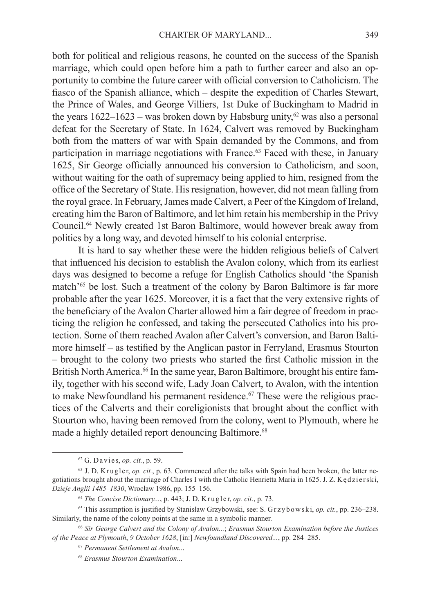both for political and religious reasons, he counted on the success of the Spanish marriage, which could open before him a path to further career and also an opportunity to combine the future career with official conversion to Catholicism. The fiasco of the Spanish alliance, which – despite the expedition of Charles Stewart, the Prince of Wales, and George Villiers, 1st Duke of Buckingham to Madrid in the years  $1622-1623$  – was broken down by Habsburg unity,<sup>62</sup> was also a personal defeat for the Secretary of State. In 1624, Calvert was removed by Buckingham both from the matters of war with Spain demanded by the Commons, and from participation in marriage negotiations with France.<sup>63</sup> Faced with these, in January 1625, Sir George officially announced his conversion to Catholicism, and soon, without waiting for the oath of supremacy being applied to him, resigned from the office of the Secretary of State. His resignation, however, did not mean falling from the royal grace. In February, James made Calvert, a Peer of the Kingdom of Ireland, creating him the Baron of Baltimore, and let him retain his membership in the Privy Council.64 Newly created 1st Baron Baltimore, would however break away from politics by a long way, and devoted himself to his colonial enterprise.

It is hard to say whether these were the hidden religious beliefs of Calvert that influenced his decision to establish the Avalon colony, which from its earliest days was designed to become a refuge for English Catholics should 'the Spanish match'65 be lost. Such a treatment of the colony by Baron Baltimore is far more probable after the year 1625. Moreover, it is a fact that the very extensive rights of the beneficiary of the Avalon Charter allowed him a fair degree of freedom in practicing the religion he confessed, and taking the persecuted Catholics into his protection. Some of them reached Avalon after Calvert's conversion, and Baron Baltimore himself – as testified by the Anglican pastor in Ferryland, Erasmus Stourton – brought to the colony two priests who started the first Catholic mission in the British North America.<sup>66</sup> In the same year, Baron Baltimore, brought his entire family, together with his second wife, Lady Joan Calvert, to Avalon, with the intention to make Newfoundland his permanent residence.<sup>67</sup> These were the religious practices of the Calverts and their coreligionists that brought about the conflict with Stourton who, having been removed from the colony, went to Plymouth, where he made a highly detailed report denouncing Baltimore.<sup>68</sup>

<sup>62</sup> G. D a v i e s, *op. cit.*, p. 59.

<sup>&</sup>lt;sup>63</sup> J. D. K r u g l e r, *op. cit.*, p. 63. Commenced after the talks with Spain had been broken, the latter negotiations brought about the marriage of Charles I with the Catholic Henrietta Maria in 1625. J. Z. K ed zierski, *Dzieje Anglii 1485–1830*, Wrocław 1986, pp. 155–156.

<sup>64</sup> *The Concise Dictionary...*, p. 443; J. D. K r u g l e r, *op. cit.*, p. 73.

<sup>65</sup> This assumption is justified by Stanisław Grzybowski, see: S. G r z y b o w s k i, *op. cit.*, pp. 236–238. Similarly, the name of the colony points at the same in a symbolic manner.

<sup>66</sup> *Sir George Calvert and the Colony of Avalon...*; *Erasmus Stourton Examination before the Justices of the Peace at Plymouth*, *9 October 1628*, [in:] *Newfoundland Discovered...*, pp. 284–285.

<sup>67</sup> *Permanent Settlement at Avalon..*.

<sup>68</sup> *Erasmus Stourton Examination*...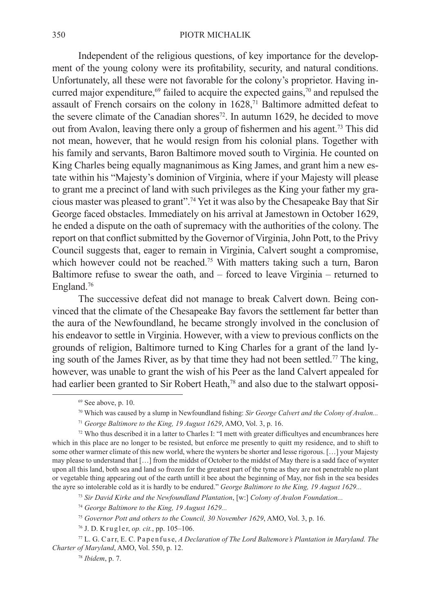## 350 PIOTR MICHALIK

Independent of the religious questions, of key importance for the development of the young colony were its profitability, security, and natural conditions. Unfortunately, all these were not favorable for the colony's proprietor. Having incurred major expenditure,<sup>69</sup> failed to acquire the expected gains,  $\frac{70}{2}$  and repulsed the assault of French corsairs on the colony in  $1628$ ,<sup> $71$ </sup> Baltimore admitted defeat to the severe climate of the Canadian shores<sup>72</sup>. In autumn 1629, he decided to move out from Avalon, leaving there only a group of fishermen and his agent.<sup>73</sup> This did not mean, however, that he would resign from his colonial plans. Together with his family and servants, Baron Baltimore moved south to Virginia. He counted on King Charles being equally magnanimous as King James, and grant him a new estate within his "Majesty's dominion of Virginia, where if your Majesty will please to grant me a precinct of land with such privileges as the King your father my gracious master was pleased to grant".74 Yet it was also by the Chesapeake Bay that Sir George faced obstacles. Immediately on his arrival at Jamestown in October 1629, he ended a dispute on the oath of supremacy with the authorities of the colony. The report on that conflict submitted by the Governor of Virginia, John Pott, to the Privy Council suggests that, eager to remain in Virginia, Calvert sought a compromise, which however could not be reached.<sup>75</sup> With matters taking such a turn, Baron Baltimore refuse to swear the oath, and – forced to leave Virginia – returned to England.76

The successive defeat did not manage to break Calvert down. Being convinced that the climate of the Chesapeake Bay favors the settlement far better than the aura of the Newfoundland, he became strongly involved in the conclusion of his endeavor to settle in Virginia. However, with a view to previous conflicts on the grounds of religion, Baltimore turned to King Charles for a grant of the land lying south of the James River, as by that time they had not been settled.77 The king, however, was unable to grant the wish of his Peer as the land Calvert appealed for had earlier been granted to Sir Robert Heath,<sup>78</sup> and also due to the stalwart opposi-

 $69$  See above, p. 10.

<sup>70</sup> Which was caused by a slump in Newfoundland fishing: *Sir George Calvert and the Colony of Avalon...*

<sup>71</sup> *George Baltimore to the King, 19 August 1629*, AMO, Vol. 3, p. 16.

 $72$  Who thus described it in a latter to Charles I: "I mett with greater difficultyes and encumbrances here which in this place are no longer to be resisted, but enforce me presently to quitt my residence, and to shift to some other warmer climate of this new world, where the wynters be shorter and lesse rigorous. […] your Majesty may please to understand that […] from the middst of October to the middst of May there is a sadd face of wynter upon all this land, both sea and land so frozen for the greatest part of the tyme as they are not penetrable no plant or vegetable thing appearing out of the earth untill it bee about the beginning of May, nor fish in the sea besides the ayre so intolerable cold as it is hardly to be endured." *George Baltimore to the King, 19 August 1629...*

<sup>73</sup> *Sir David Kirke and the Newfoundland Plantation*, [w:] *Colony of Avalon Foundation...*

<sup>74</sup> *George Baltimore to the King, 19 August 1629...*

<sup>75</sup> *Governor Pott and others to the Council, 30 November 1629*, AMO, Vol. 3, p. 16.

<sup>&</sup>lt;sup>76</sup> J. D. Krugler, *op. cit.*, pp. 105–106.

<sup>77</sup> L. G. C a r r, E. C. P a p e n f u s e, *A Declaration of The Lord Baltemore's Plantation in Maryland. The Charter of Maryland*, AMO, Vol. 550, p. 12.

<sup>78</sup> *Ibidem*, p. 7.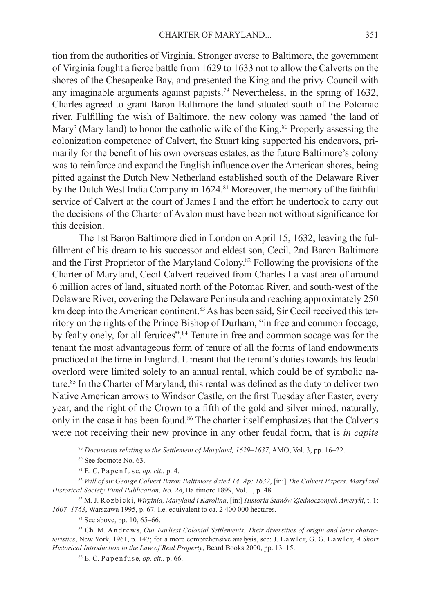tion from the authorities of Virginia. Stronger averse to Baltimore, the government of Virginia fought a fierce battle from 1629 to 1633 not to allow the Calverts on the shores of the Chesapeake Bay, and presented the King and the privy Council with any imaginable arguments against papists.79 Nevertheless, in the spring of 1632, Charles agreed to grant Baron Baltimore the land situated south of the Potomac river. Fulfilling the wish of Baltimore, the new colony was named 'the land of Mary' (Mary land) to honor the catholic wife of the King.<sup>80</sup> Properly assessing the colonization competence of Calvert, the Stuart king supported his endeavors, primarily for the benefit of his own overseas estates, as the future Baltimore's colony was to reinforce and expand the English influence over the American shores, being pitted against the Dutch New Netherland established south of the Delaware River by the Dutch West India Company in 1624.<sup>81</sup> Moreover, the memory of the faithful service of Calvert at the court of James I and the effort he undertook to carry out the decisions of the Charter of Avalon must have been not without significance for this decision.

The 1st Baron Baltimore died in London on April 15, 1632, leaving the fulfillment of his dream to his successor and eldest son, Cecil, 2nd Baron Baltimore and the First Proprietor of the Maryland Colony.82 Following the provisions of the Charter of Maryland, Cecil Calvert received from Charles I a vast area of around 6 million acres of land, situated north of the Potomac River, and south-west of the Delaware River, covering the Delaware Peninsula and reaching approximately 250 km deep into the American continent.<sup>83</sup> As has been said, Sir Cecil received this territory on the rights of the Prince Bishop of Durham, "in free and common foccage, by fealty onely, for all feruices".<sup>84</sup> Tenure in free and common socage was for the tenant the most advantageous form of tenure of all the forms of land endowments practiced at the time in England. It meant that the tenant's duties towards his feudal overlord were limited solely to an annual rental, which could be of symbolic nature.<sup>85</sup> In the Charter of Maryland, this rental was defined as the duty to deliver two Native American arrows to Windsor Castle, on the first Tuesday after Easter, every year, and the right of the Crown to a fifth of the gold and silver mined, naturally, only in the case it has been found.<sup>86</sup> The charter itself emphasizes that the Calverts were not receiving their new province in any other feudal form, that is *in capite* 

<sup>79</sup> *Documents relating to the Settlement of Maryland, 1629–1637*, AMO, Vol. 3, pp. 16–22.

<sup>80</sup> See footnote No. 63.

 $81$  E. C. Papen fuse, *op. cit.*, p. 4.

<sup>82</sup> *Will of sir George Calvert Baron Baltimore dated 14. Ap: 1632*, [in:] *The Calvert Papers. Maryland Historical Society Fund Publication, No. 28*, Baltimore 1899, Vol. 1, p. 48.

<sup>83</sup> M. J. R o z b i c k i, *Wirginia, Maryland i Karolina*, [in:] *Historia Stanów Zjednoczonych Ameryki*, t. 1: *1607–1763*, Warszawa 1995, p. 67. I.e. equivalent to ca. 2 400 000 hectares.

<sup>84</sup> See above, pp. 10, 65–66.

<sup>85</sup> Ch. M. Andrews, Our Earliest Colonial Settlements. Their diversities of origin and later charac*teristics*, New York, 1961, p. 147; for a more comprehensive analysis, see: J. Lawler, G. G. Lawler, A Short *Historical Introduction to the Law of Real Property*, Beard Books 2000, pp. 13–15.

 $86$  E. C. Papen fuse, *op. cit.*, p. 66.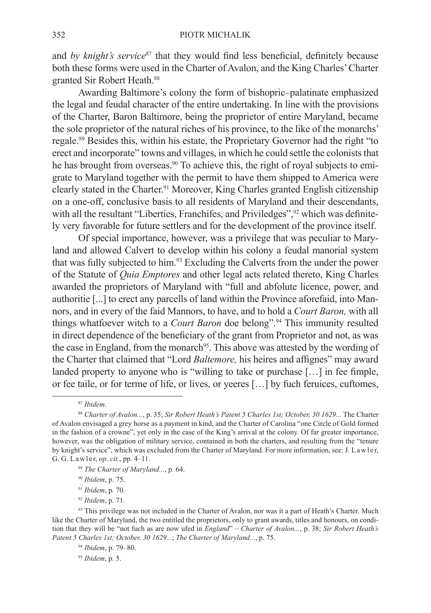and *by knight's service*<sup>87</sup> that they would find less beneficial, definitely because both these forms were used in the Charter of Avalon, and the King Charles' Charter granted Sir Robert Heath.88

Awarding Baltimore's colony the form of bishopric–palatinate emphasized the legal and feudal character of the entire undertaking. In line with the provisions of the Charter, Baron Baltimore, being the proprietor of entire Maryland, became the sole proprietor of the natural riches of his province, to the like of the monarchs' regale.89 Besides this, within his estate, the Proprietary Governor had the right "to erect and incorporate" towns and villages, in which he could settle the colonists that he has brought from overseas.<sup>90</sup> To achieve this, the right of royal subjects to emigrate to Maryland together with the permit to have them shipped to America were clearly stated in the Charter.<sup>91</sup> Moreover, King Charles granted English citizenship on a one-off, conclusive basis to all residents of Maryland and their descendants, with all the resultant "Liberties, Franchifes, and Priviledges",<sup>92</sup> which was definitely very favorable for future settlers and for the development of the province itself.

Of special importance, however, was a privilege that was peculiar to Maryland and allowed Calvert to develop within his colony a feudal manorial system that was fully subjected to him.93 Excluding the Calverts from the under the power of the Statute of *Quia Emptores* and other legal acts related thereto, King Charles awarded the proprietors of Maryland with "full and abfolute licence, power, and authoritie [...] to erect any parcells of land within the Province aforefaid, into Mannors, and in every of the faid Mannors, to have, and to hold a *Court Baron,* with all things whatfoever witch to a *Court Baron* doe belong".94 This immunity resulted in direct dependence of the beneficiary of the grant from Proprietor and not, as was the case in England, from the monarch<sup>95</sup>. This above was attested by the wording of the Charter that claimed that "Lord *Baltemore,* his heires and affignes" may award landed property to anyone who is "willing to take or purchase [...] in fee fimple, or fee taile, or for terme of life, or lives, or yeeres […] by fuch feruices, cuftomes,

<sup>87</sup> *Ibidem*.

- <sup>89</sup> *The Charter of Maryland...*, p. 64.
- <sup>90</sup> *Ibidem*, p. 75.
- <sup>91</sup> *Ibidem*, p. 70.
- <sup>92</sup> *Ibidem*, p. 71.

<sup>94</sup> *Ibidem*, p. 79–80.

<sup>95</sup> *Ibidem*, p. 5.

<sup>88</sup> *Charter of Avalon...*, p. 35; *Sir Robert Heath's Patent 5 Charles 1st; October, 30 1629...* The Charter of Avalon envisaged a grey horse as a payment in kind, and the Charter of Carolina "one Circle of Gold formed in the fashion of a crowne", yet only in the case of the King's arrival at the colony. Of far greater importance, however, was the obligation of military service, contained in both the charters, and resulting from the "tenure by knight's service", which was excluded from the Charter of Maryland. For more information, see: J. L a w l er, G. G. L a w l e r, *op. cit.*, pp. 4–11.

<sup>93</sup> This privilege was not included in the Charter of Avalon, nor was it a part of Heath's Charter. Much like the Charter of Maryland, the two entitled the proprietors, only to grant awards, titles and honours, on condition that they will be "not fuch as are now ufed in *England*" – *Charter of Avalon...*, p. 38; *Sir Robert Heath's Patent 5 Charles 1st; October, 30 1629...*; *The Charter of Maryland...*, p. 75.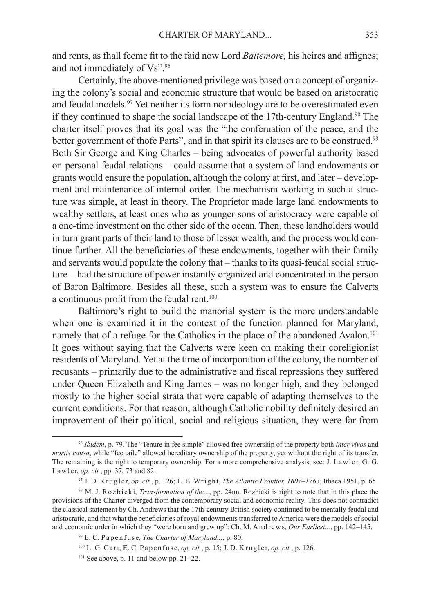and rents, as fhall feeme fit to the faid now Lord *Baltemore,* his heires and affignes; and not immediately of Vs".<sup>96</sup>

Certainly, the above-mentioned privilege was based on a concept of organizing the colony's social and economic structure that would be based on aristocratic and feudal models.97 Yet neither its form nor ideology are to be overestimated even if they continued to shape the social landscape of the 17th-century England.98 The charter itself proves that its goal was the "the conferuation of the peace, and the better government of thofe Parts", and in that spirit its clauses are to be construed.<sup>99</sup> Both Sir George and King Charles – being advocates of powerful authority based on personal feudal relations – could assume that a system of land endowments or grants would ensure the population, although the colony at first, and later – development and maintenance of internal order. The mechanism working in such a structure was simple, at least in theory. The Proprietor made large land endowments to wealthy settlers, at least ones who as younger sons of aristocracy were capable of a one-time investment on the other side of the ocean. Then, these landholders would in turn grant parts of their land to those of lesser wealth, and the process would continue further. All the beneficiaries of these endowments, together with their family and servants would populate the colony that – thanks to its quasi-feudal social structure – had the structure of power instantly organized and concentrated in the person of Baron Baltimore. Besides all these, such a system was to ensure the Calverts a continuous profit from the feudal rent.<sup>100</sup>

Baltimore's right to build the manorial system is the more understandable when one is examined it in the context of the function planned for Maryland, namely that of a refuge for the Catholics in the place of the abandoned Avalon.<sup>101</sup> It goes without saying that the Calverts were keen on making their coreligionist residents of Maryland. Yet at the time of incorporation of the colony, the number of recusants – primarily due to the administrative and fiscal repressions they suffered under Queen Elizabeth and King James – was no longer high, and they belonged mostly to the higher social strata that were capable of adapting themselves to the current conditions. For that reason, although Catholic nobility definitely desired an improvement of their political, social and religious situation, they were far from

<sup>96</sup> *Ibidem*, p. 79. The "Tenure in fee simple" allowed free ownership of the property both *inter vivos* and *mortis causa*, while "fee taile" allowed hereditary ownership of the property, yet without the right of its transfer. The remaining is the right to temporary ownership. For a more comprehensive analysis, see: J. L a w l er, G. G. L a w l e r, *op. cit.*, pp. 37, 73 and 82.

<sup>97</sup> J. D. K r u g l e r, *op. cit.*, p. 126; L. B. W r i g ht, *The Atlantic Frontier, 1607–1763*, Ithaca 1951, p. 65.

<sup>&</sup>lt;sup>98</sup> M. J. R o z b i c k i, *Transformation of the...*, pp. 24nn. Rozbicki is right to note that in this place the provisions of the Charter diverged from the contemporary social and economic reality. This does not contradict the classical statement by Ch. Andrews that the 17th-century British society continued to be mentally feudal and aristocratic, and that what the beneficiaries of royal endowments transferred to America were the models of social and economic order in which they "were born and grew up": Ch. M. A n d r e w s, *Our Earliest...*, pp. 142–145.

<sup>&</sup>lt;sup>99</sup> E. C. Papen fuse, *The Charter of Maryland...*, p. 80.

<sup>&</sup>lt;sup>100</sup> L. G. Carr, E. C. Papenfuse, *op. cit.*, p. 15; J. D. Krugler, *op. cit.*, p. 126.

 $101$  See above, p. 11 and below pp. 21–22.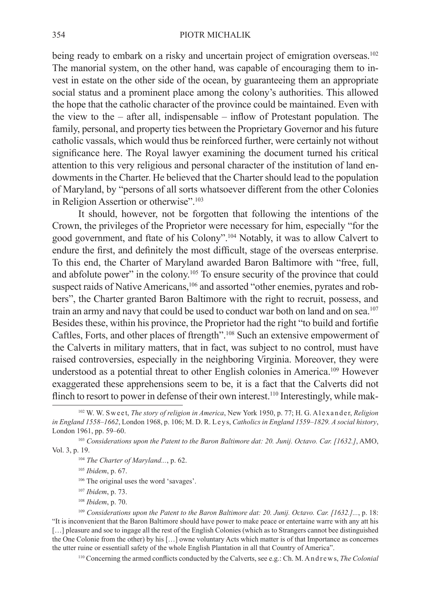being ready to embark on a risky and uncertain project of emigration overseas.<sup>102</sup> The manorial system, on the other hand, was capable of encouraging them to invest in estate on the other side of the ocean, by guaranteeing them an appropriate social status and a prominent place among the colony's authorities. This allowed the hope that the catholic character of the province could be maintained. Even with the view to the – after all, indispensable – inflow of Protestant population. The family, personal, and property ties between the Proprietary Governor and his future catholic vassals, which would thus be reinforced further, were certainly not without significance here. The Royal lawyer examining the document turned his critical attention to this very religious and personal character of the institution of land endowments in the Charter. He believed that the Charter should lead to the population of Maryland, by "persons of all sorts whatsoever different from the other Colonies in Religion Assertion or otherwise".<sup>103</sup>

It should, however, not be forgotten that following the intentions of the Crown, the privileges of the Proprietor were necessary for him, especially "for the good government, and ftate of his Colony".104 Notably, it was to allow Calvert to endure the first, and definitely the most difficult, stage of the overseas enterprise. To this end, the Charter of Maryland awarded Baron Baltimore with "free, full, and abfolute power" in the colony.105 To ensure security of the province that could suspect raids of Native Americans,<sup>106</sup> and assorted "other enemies, pyrates and robbers", the Charter granted Baron Baltimore with the right to recruit, possess, and train an army and navy that could be used to conduct war both on land and on sea.<sup>107</sup> Besides these, within his province, the Proprietor had the right "to build and fortifie Caftles, Forts, and other places of ftrength".108 Such an extensive empowerment of the Calverts in military matters, that in fact, was subject to no control, must have raised controversies, especially in the neighboring Virginia. Moreover, they were understood as a potential threat to other English colonies in America.109 However exaggerated these apprehensions seem to be, it is a fact that the Calverts did not flinch to resort to power in defense of their own interest.<sup>110</sup> Interestingly, while mak-

- <sup>104</sup> *The Charter of Maryland...*, p. 62.
- <sup>105</sup> *Ibidem*, p. 67.
- 106 The original uses the word 'savages'.
- <sup>107</sup> *Ibidem*, p. 73.
- <sup>108</sup> *Ibidem*, p. 70.

<sup>110</sup> Concerning the armed conflicts conducted by the Calverts, see e.g.: Ch. M. A n d r e w s, *The Colonial* 

<sup>&</sup>lt;sup>102</sup> W. W. Sweet, *The story of religion in America*, New York 1950, p. 77; H. G. A l exander, *Religion in England 1558–1662*, London 1968, p. 106; M. D. R. L e y s, *Catholics in England 1559–1829. A social history*, London 1961, pp. 59–60.

<sup>103</sup> *Considerations upon the Patent to the Baron Baltimore dat: 20. Junij. Octavo. Car. [1632.]*, AMO, Vol. 3, p. 19.

<sup>109</sup> *Considerations upon the Patent to the Baron Baltimore dat: 20. Junij. Octavo. Car. [1632.]...*, p. 18: "It is inconvenient that the Baron Baltimore should have power to make peace or entertaine warre with any att his [...] pleasure and soe to ingage all the rest of the English Colonies (which as to Strangers cannot bee distinguished the One Colonie from the other) by his […] owne voluntary Acts which matter is of that Importance as concernes the utter ruine or essentiall safety of the whole English Plantation in all that Country of America".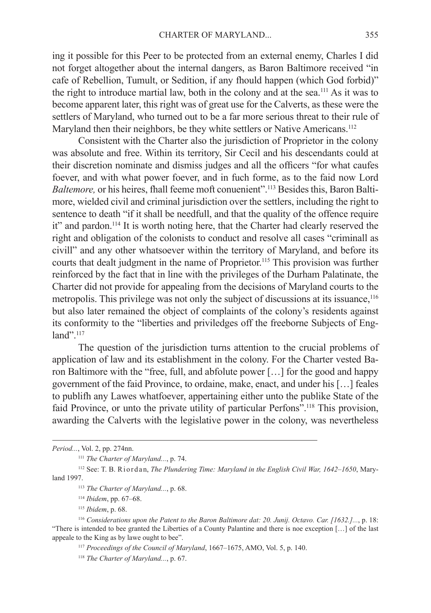ing it possible for this Peer to be protected from an external enemy, Charles I did not forget altogether about the internal dangers, as Baron Baltimore received "in cafe of Rebellion, Tumult, or Sedition, if any fhould happen (which God forbid)" the right to introduce martial law, both in the colony and at the sea.111 As it was to become apparent later, this right was of great use for the Calverts, as these were the settlers of Maryland, who turned out to be a far more serious threat to their rule of Maryland then their neighbors, be they white settlers or Native Americans.<sup>112</sup>

Consistent with the Charter also the jurisdiction of Proprietor in the colony was absolute and free. Within its territory, Sir Cecil and his descendants could at their discretion nominate and dismiss judges and all the officers "for what caufes foever, and with what power foever, and in fuch forme, as to the faid now Lord *Baltemore*, or his heires, fhall feeme moft conuenient".<sup>113</sup> Besides this, Baron Baltimore, wielded civil and criminal jurisdiction over the settlers, including the right to sentence to death "if it shall be needfull, and that the quality of the offence require it" and pardon.114 It is worth noting here, that the Charter had clearly reserved the right and obligation of the colonists to conduct and resolve all cases "criminall as civill" and any other whatsoever within the territory of Maryland, and before its courts that dealt judgment in the name of Proprietor.115 This provision was further reinforced by the fact that in line with the privileges of the Durham Palatinate, the Charter did not provide for appealing from the decisions of Maryland courts to the metropolis. This privilege was not only the subject of discussions at its issuance,<sup>116</sup> but also later remained the object of complaints of the colony's residents against its conformity to the "liberties and priviledges off the freeborne Subjects of England".<sup>117</sup>

The question of the jurisdiction turns attention to the crucial problems of application of law and its establishment in the colony. For the Charter vested Baron Baltimore with the "free, full, and abfolute power […] for the good and happy government of the faid Province, to ordaine, make, enact, and under his […] feales to publifh any Lawes whatfoever, appertaining either unto the publike State of the faid Province, or unto the private utility of particular Perfons".118 This provision, awarding the Calverts with the legislative power in the colony, was nevertheless

*Period...*, Vol. 2, pp. 274nn.

<sup>111</sup> *The Charter of Maryland...*, p. 74.

<sup>&</sup>lt;sup>112</sup> See: T. B. Riordan, *The Plundering Time: Maryland in the English Civil War, 1642–1650*, Maryland 1997.

<sup>113</sup> *The Charter of Maryland...*, p. 68.

<sup>114</sup> *Ibidem*, pp. 67–68.

<sup>115</sup> *Ibidem*, p. 68.

<sup>116</sup> *Considerations upon the Patent to the Baron Baltimore dat: 20. Junij. Octavo. Car. [1632.]...*, p. 18: "There is intended to bee granted the Liberties of a County Palantine and there is noe exception […] of the last appeale to the King as by lawe ought to bee".

<sup>117</sup> *Proceedings of the Council of Maryland*, 1667–1675, AMO, Vol. 5, p. 140.

<sup>118</sup> *The Charter of Maryland...*, p. 67.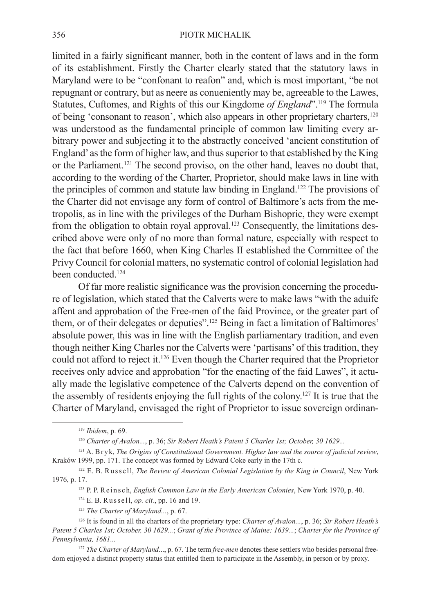## 356 PIOTR MICHALIK

limited in a fairly significant manner, both in the content of laws and in the form of its establishment. Firstly the Charter clearly stated that the statutory laws in Maryland were to be "confonant to reafon" and, which is most important, "be not repugnant or contrary, but as neere as conueniently may be, agreeable to the Lawes, Statutes, Cuftomes, and Rights of this our Kingdome *of England*".119 The formula of being 'consonant to reason', which also appears in other proprietary charters,120 was understood as the fundamental principle of common law limiting every arbitrary power and subjecting it to the abstractly conceived 'ancient constitution of England' as the form of higher law, and thus superior to that established by the King or the Parliament.121 The second proviso, on the other hand, leaves no doubt that, according to the wording of the Charter, Proprietor, should make laws in line with the principles of common and statute law binding in England.122 The provisions of the Charter did not envisage any form of control of Baltimore's acts from the metropolis, as in line with the privileges of the Durham Bishopric, they were exempt from the obligation to obtain royal approval.123 Consequently, the limitations described above were only of no more than formal nature, especially with respect to the fact that before 1660, when King Charles II established the Committee of the Privy Council for colonial matters, no systematic control of colonial legislation had been conducted.<sup>124</sup>

Of far more realistic significance was the provision concerning the procedure of legislation, which stated that the Calverts were to make laws "with the aduife affent and approbation of the Free-men of the faid Province, or the greater part of them, or of their delegates or deputies".125 Being in fact a limitation of Baltimores' absolute power, this was in line with the English parliamentary tradition, and even though neither King Charles nor the Calverts were 'partisans' of this tradition, they could not afford to reject it.126 Even though the Charter required that the Proprietor receives only advice and approbation "for the enacting of the faid Lawes", it actually made the legislative competence of the Calverts depend on the convention of the assembly of residents enjoying the full rights of the colony.127 It is true that the Charter of Maryland, envisaged the right of Proprietor to issue sovereign ordinan-

<sup>119</sup> *Ibidem*, p. 69.

<sup>120</sup> *Charter of Avalon...*, p. 36; *Sir Robert Heath's Patent 5 Charles 1st; October, 30 1629...*

<sup>121</sup> A. B r y k, *The Origins of Constitutional Government. Higher law and the source of judicial review*, Kraków 1999, pp. 171. The concept was formed by Edward Coke early in the 17th c.

<sup>&</sup>lt;sup>122</sup> E. B. Russell, *The Review of American Colonial Legislation by the King in Council*, New York 1976, p. 17.

<sup>&</sup>lt;sup>123</sup> P. P. R e ins ch, *English Common Law in the Early American Colonies*, New York 1970, p. 40.

<sup>&</sup>lt;sup>124</sup> E. B. Russell, *op. cit.*, pp. 16 and 19.

<sup>125</sup> *The Charter of Maryland...*, p. 67.

<sup>126</sup> It is found in all the charters of the proprietary type: *Charter of Avalon...*, p. 36; *Sir Robert Heath's Patent 5 Charles 1st; October, 30 1629...*; *Grant of the Province of Maine: 1639...*; *Charter for the Province of Pennsylvania, 1681...*

<sup>&</sup>lt;sup>127</sup> *The Charter of Maryland..., p. 67. The term free-men denotes these settlers who besides personal free*dom enjoyed a distinct property status that entitled them to participate in the Assembly, in person or by proxy.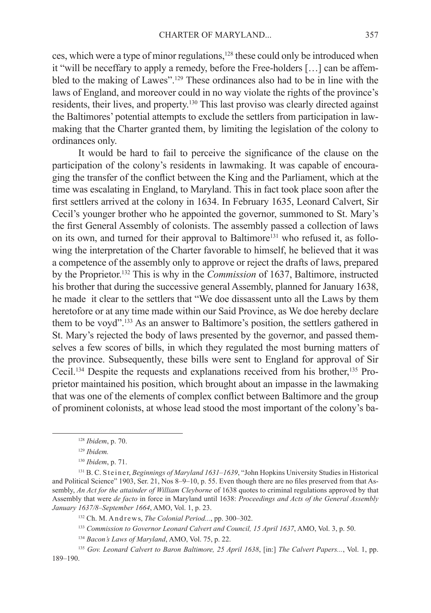ces, which were a type of minor regulations,128 these could only be introduced when it "will be neceffary to apply a remedy, before the Free-holders […] can be affembled to the making of Lawes".129 These ordinances also had to be in line with the laws of England, and moreover could in no way violate the rights of the province's residents, their lives, and property.130 This last proviso was clearly directed against the Baltimores' potential attempts to exclude the settlers from participation in lawmaking that the Charter granted them, by limiting the legislation of the colony to ordinances only.

It would be hard to fail to perceive the significance of the clause on the participation of the colony's residents in lawmaking. It was capable of encouraging the transfer of the conflict between the King and the Parliament, which at the time was escalating in England, to Maryland. This in fact took place soon after the first settlers arrived at the colony in 1634. In February 1635, Leonard Calvert, Sir Cecil's younger brother who he appointed the governor, summoned to St. Mary's the first General Assembly of colonists. The assembly passed a collection of laws on its own, and turned for their approval to Baltimore<sup>131</sup> who refused it, as following the interpretation of the Charter favorable to himself, he believed that it was a competence of the assembly only to approve or reject the drafts of laws, prepared by the Proprietor.132 This is why in the *Commission* of 1637, Baltimore, instructed his brother that during the successive general Assembly, planned for January 1638, he made it clear to the settlers that "We doe dissassent unto all the Laws by them heretofore or at any time made within our Said Province, as We doe hereby declare them to be voyd".133 As an answer to Baltimore's position, the settlers gathered in St. Mary's rejected the body of laws presented by the governor, and passed themselves a few scores of bills, in which they regulated the most burning matters of the province. Subsequently, these bills were sent to England for approval of Sir Cecil.134 Despite the requests and explanations received from his brother,135 Proprietor maintained his position, which brought about an impasse in the lawmaking that was one of the elements of complex conflict between Baltimore and the group of prominent colonists, at whose lead stood the most important of the colony's ba-

<sup>128</sup> *Ibidem*, p. 70.

<sup>129</sup> *Ibidem.*

<sup>130</sup> *Ibidem*, p. 71.

<sup>131</sup> B. C. Steiner, *Beginnings of Maryland 1631–1639*, "John Hopkins University Studies in Historical and Political Science" 1903, Ser. 21, Nos 8–9–10, p. 55. Even though there are no files preserved from that Assembly, *An Act for the attainder of William Cleyborne* of 1638 quotes to criminal regulations approved by that Assembly that were *de facto* in force in Maryland until 1638: *Proceedings and Acts of the General Assembly January 1637/8–September 1664*, AMO, Vol. 1, p. 23.

<sup>&</sup>lt;sup>132</sup> Ch. M. Andrews, *The Colonial Period...*, pp. 300-302.

<sup>133</sup> *Commission to Governor Leonard Calvert and Council, 15 April 1637*, AMO, Vol. 3, p. 50.

<sup>134</sup> *Bacon's Laws of Maryland*, AMO, Vol. 75, p. 22.

<sup>135</sup> *Gov. Leonard Calvert to Baron Baltimore, 25 April 1638*, [in:] *The Calvert Papers...*, Vol. 1, pp. 189–190.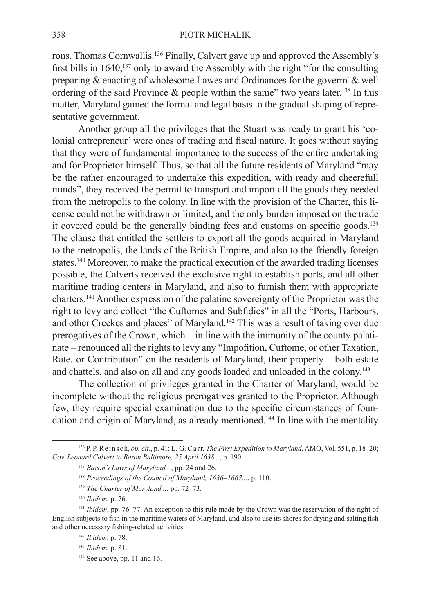rons, Thomas Cornwallis.136 Finally, Calvert gave up and approved the Assembly's first bills in  $1640$ ,<sup>137</sup> only to award the Assembly with the right "for the consulting preparing  $\&$  enacting of wholesome Lawes and Ordinances for the goverm<sup>t</sup>  $\&$  well ordering of the said Province  $\&$  people within the same" two years later.<sup>138</sup> In this matter, Maryland gained the formal and legal basis to the gradual shaping of representative government.

Another group all the privileges that the Stuart was ready to grant his 'colonial entrepreneur' were ones of trading and fiscal nature. It goes without saying that they were of fundamental importance to the success of the entire undertaking and for Proprietor himself. Thus, so that all the future residents of Maryland "may be the rather encouraged to undertake this expedition, with ready and cheerefull minds", they received the permit to transport and import all the goods they needed from the metropolis to the colony. In line with the provision of the Charter, this license could not be withdrawn or limited, and the only burden imposed on the trade it covered could be the generally binding fees and customs on specific goods.<sup>139</sup> The clause that entitled the settlers to export all the goods acquired in Maryland to the metropolis, the lands of the British Empire, and also to the friendly foreign states.140 Moreover, to make the practical execution of the awarded trading licenses possible, the Calverts received the exclusive right to establish ports, and all other maritime trading centers in Maryland, and also to furnish them with appropriate charters.141 Another expression of the palatine sovereignty of the Proprietor was the right to levy and collect "the Cuftomes and Subfidies" in all the "Ports, Harbours, and other Creekes and places" of Maryland.142 This was a result of taking over due prerogatives of the Crown, which – in line with the immunity of the county palatinate – renounced all the rights to levy any "Impofition, Cuftome, or other Taxation, Rate, or Contribution" on the residents of Maryland, their property – both estate and chattels, and also on all and any goods loaded and unloaded in the colony.<sup>143</sup>

The collection of privileges granted in the Charter of Maryland, would be incomplete without the religious prerogatives granted to the Proprietor. Although few, they require special examination due to the specific circumstances of foundation and origin of Maryland, as already mentioned.<sup>144</sup> In line with the mentality

<sup>136</sup> P. P. R e i n s c h, *op. cit.*, p. 41; L. G. C a r r, *The First Expedition to Maryland*, AMO, Vol. 551, p. 18–20; *Gov. Leonard Calvert to Baron Baltimore, 25 April 1638...*, p. 190.

<sup>137</sup> *Bacon's Laws of Maryland...*, pp. 24 and 26.

<sup>138</sup> *Proceedings of the Council of Maryland, 1636–1667...*, p. 110.

<sup>139</sup> *The Charter of Maryland...*, pp. 72–73.

<sup>140</sup> *Ibidem*, p. 76.

<sup>141</sup> *Ibidem*, pp. 76–77. An exception to this rule made by the Crown was the reservation of the right of English subjects to fish in the maritime waters of Maryland, and also to use its shores for drying and salting fish and other necessary fishing-related activities.

<sup>142</sup> *Ibidem*, p. 78.

<sup>143</sup> *Ibidem*, p. 81.

<sup>&</sup>lt;sup>144</sup> See above, pp. 11 and 16.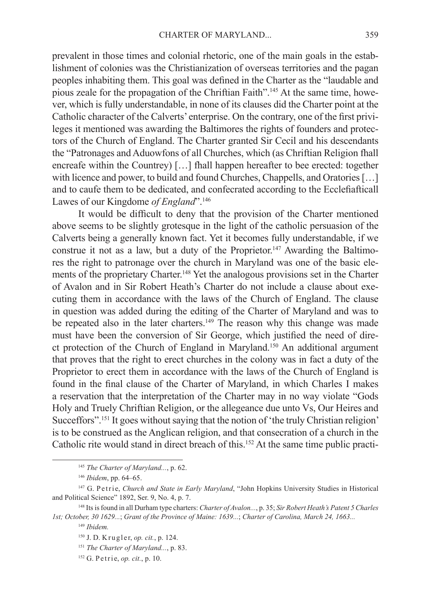prevalent in those times and colonial rhetoric, one of the main goals in the establishment of colonies was the Christianization of overseas territories and the pagan peoples inhabiting them. This goal was defined in the Charter as the "laudable and pious zeale for the propagation of the Chriftian Faith".145 At the same time, however, which is fully understandable, in none of its clauses did the Charter point at the Catholic character of the Calverts' enterprise. On the contrary, one of the first privileges it mentioned was awarding the Baltimores the rights of founders and protectors of the Church of England. The Charter granted Sir Cecil and his descendants the "Patronages and Aduowfons of all Churches, which (as Chriftian Religion fhall encreafe within the Countrey) […] fhall happen hereafter to bee erected: together with licence and power, to build and found Churches, Chappells, and Oratories [...] and to caufe them to be dedicated, and confecrated according to the Ecclefiafticall Lawes of our Kingdome *of England*".<sup>146</sup>

It would be difficult to deny that the provision of the Charter mentioned above seems to be slightly grotesque in the light of the catholic persuasion of the Calverts being a generally known fact. Yet it becomes fully understandable, if we construe it not as a law, but a duty of the Proprietor.<sup>147</sup> Awarding the Baltimores the right to patronage over the church in Maryland was one of the basic elements of the proprietary Charter.<sup>148</sup> Yet the analogous provisions set in the Charter of Avalon and in Sir Robert Heath's Charter do not include a clause about executing them in accordance with the laws of the Church of England. The clause in question was added during the editing of the Charter of Maryland and was to be repeated also in the later charters.<sup>149</sup> The reason why this change was made must have been the conversion of Sir George, which justified the need of direct protection of the Church of England in Maryland.150 An additional argument that proves that the right to erect churches in the colony was in fact a duty of the Proprietor to erect them in accordance with the laws of the Church of England is found in the final clause of the Charter of Maryland, in which Charles I makes a reservation that the interpretation of the Charter may in no way violate "Gods Holy and Truely Chriftian Religion, or the allegeance due unto Vs, Our Heires and Succeffors".151 It goes without saying that the notion of 'the truly Christian religion' is to be construed as the Anglican religion, and that consecration of a church in the Catholic rite would stand in direct breach of this.152 At the same time public practi-

<sup>145</sup> *The Charter of Maryland...*, p. 62.

<sup>146</sup> *Ibidem*, pp. 64–65.

<sup>&</sup>lt;sup>147</sup> G. Petrie, *Church and State in Early Maryland*, "John Hopkins University Studies in Historical and Political Science" 1892, Ser. 9, No. 4, p. 7.

<sup>148</sup> Its is found in all Durham type charters: *Charter of Avalon...*, p. 35; *Sir Robert Heath's Patent 5 Charles 1st; October, 30 1629...*; *Grant of the Province of Maine: 1639...*; *Charter of Carolina, March 24, 1663...*

<sup>149</sup> *Ibidem.*

<sup>&</sup>lt;sup>150</sup> J. D. Krugler, *op. cit.*, p. 124.

<sup>151</sup> *The Charter of Maryland...*, p. 83.

<sup>&</sup>lt;sup>152</sup> G. P e t r i e, *op. cit.*, p. 10.